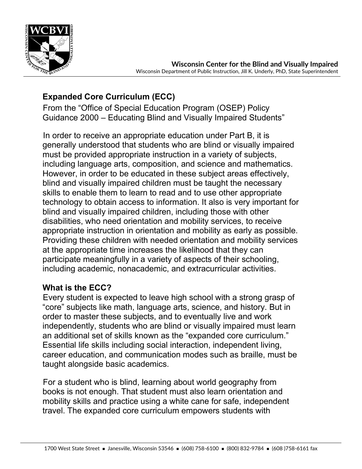

# **Expanded Core Curriculum (ECC)**

From the "Office of Special Education Program (OSEP) Policy Guidance 2000 – Educating Blind and Visually Impaired Students"

In order to receive an appropriate education under Part B, it is generally understood that students who are blind or visually impaired must be provided appropriate instruction in a variety of subjects, including language arts, composition, and science and mathematics. However, in order to be educated in these subject areas effectively, blind and visually impaired children must be taught the necessary skills to enable them to learn to read and to use other appropriate technology to obtain access to information. It also is very important for blind and visually impaired children, including those with other disabilities, who need orientation and mobility services, to receive appropriate instruction in orientation and mobility as early as possible. Providing these children with needed orientation and mobility services at the appropriate time increases the likelihood that they can participate meaningfully in a variety of aspects of their schooling, including academic, nonacademic, and extracurricular activities.

# **What is the ECC?**

Every student is expected to leave high school with a strong grasp of "core" subjects like math, language arts, science, and history. But in order to master these subjects, and to eventually live and work independently, students who are blind or visually impaired must learn an additional set of skills known as the "expanded core curriculum." Essential life skills including social interaction, independent living, career education, and communication modes such as braille, must be taught alongside basic academics.

For a student who is blind, learning about world geography from books is not enough. That student must also learn orientation and mobility skills and practice using a white cane for safe, independent travel. The expanded core curriculum empowers students with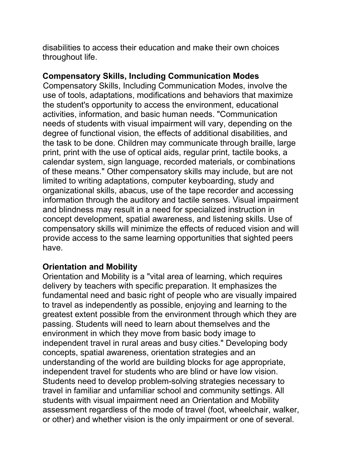disabilities to access their education and make their own choices throughout life.

# **Compensatory Skills, Including Communication Modes**

Compensatory Skills, Including Communication Modes, involve the use of tools, adaptations, modifications and behaviors that maximize the student's opportunity to access the environment, educational activities, information, and basic human needs. "Communication needs of students with visual impairment will vary, depending on the degree of functional vision, the effects of additional disabilities, and the task to be done. Children may communicate through braille, large print, print with the use of optical aids, regular print, tactile books, a calendar system, sign language, recorded materials, or combinations of these means." Other compensatory skills may include, but are not limited to writing adaptations, computer keyboarding, study and organizational skills, abacus, use of the tape recorder and accessing information through the auditory and tactile senses. Visual impairment and blindness may result in a need for specialized instruction in concept development, spatial awareness, and listening skills. Use of compensatory skills will minimize the effects of reduced vision and will provide access to the same learning opportunities that sighted peers have.

# **Orientation and Mobility**

Orientation and Mobility is a "vital area of learning, which requires delivery by teachers with specific preparation. It emphasizes the fundamental need and basic right of people who are visually impaired to travel as independently as possible, enjoying and learning to the greatest extent possible from the environment through which they are passing. Students will need to learn about themselves and the environment in which they move from basic body image to independent travel in rural areas and busy cities." Developing body concepts, spatial awareness, orientation strategies and an understanding of the world are building blocks for age appropriate, independent travel for students who are blind or have low vision. Students need to develop problem-solving strategies necessary to travel in familiar and unfamiliar school and community settings. All students with visual impairment need an Orientation and Mobility assessment regardless of the mode of travel (foot, wheelchair, walker, or other) and whether vision is the only impairment or one of several.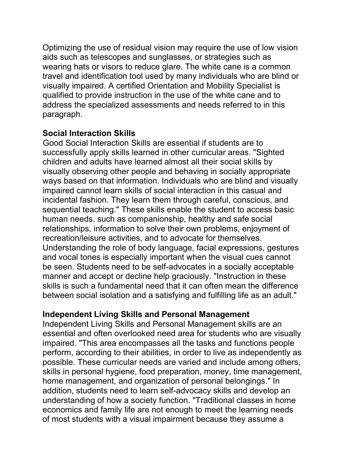Optimizing the use of residual vision may require the use of low vision aids such as telescopes and sunglasses, or strategies such as wearing hats or visors to reduce glare. The white cane is a common travel and identification tool used by many individuals who are blind or visually impaired. A certified Orientation and Mobility Specialist is qualified to provide instruction in the use of the white cane and to address the specialized assessments and needs referred to in this paragraph.

#### **Social Interaction Skills**

Good Social Interaction Skills are essential if students are to successfully apply skills learned in other curricular areas. "Sighted children and adults have learned almost all their social skills by visually observing other people and behaving in socially appropriate ways based on that information. Individuals who are blind and visually impaired cannot learn skills of social interaction in this casual and incidental fashion. They learn them through careful, conscious, and sequential teaching." These skills enable the student to access basic human needs, such as companionship, healthy and safe social relationships, information to solve their own problems, enjoyment of recreation/leisure activities, and to advocate for themselves. Understanding the role of body language, facial expressions, gestures and vocal tones is especially important when the visual cues cannot be seen. Students need to be self-advocates in a socially acceptable manner and accept or decline help graciously. "Instruction in these skills is such a fundamental need that it can often mean the difference between social isolation and a satisfying and fulfilling life as an adult."

#### **Independent Living Skills and Personal Management**

Independent Living Skills and Personal Management skills are an essential and often overlooked need area for students who are visually impaired. "This area encompasses all the tasks and functions people perform, according to their abilities, in order to live as independently as possible. These curricular needs are varied and include among others, skills in personal hygiene, food preparation, money, time management, home management, and organization of personal belongings." In addition, students need to learn self-advocacy skills and develop an understanding of how a society function. "Traditional classes in home economics and family life are not enough to meet the learning needs of most students with a visual impairment because they assume a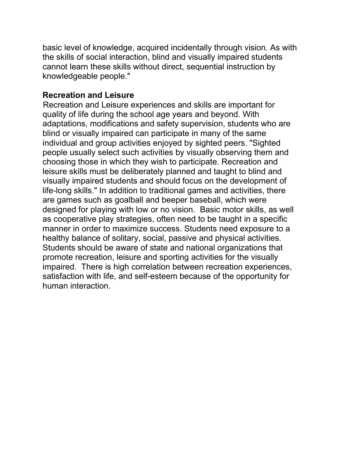basic level of knowledge, acquired incidentally through vision. As with the skills of social interaction, blind and visually impaired students cannot learn these skills without direct, sequential instruction by knowledgeable people."

#### **Recreation and Leisure**

Recreation and Leisure experiences and skills are important for quality of life during the school age years and beyond. With adaptations, modifications and safety supervision, students who are blind or visually impaired can participate in many of the same individual and group activities enjoyed by sighted peers. "Sighted people usually select such activities by visually observing them and choosing those in which they wish to participate. Recreation and leisure skills must be deliberately planned and taught to blind and visually impaired students and should focus on the development of life-long skills." In addition to traditional games and activities, there are games such as goalball and beeper baseball, which were designed for playing with low or no vision. Basic motor skills, as well as cooperative play strategies, often need to be taught in a specific manner in order to maximize success. Students need exposure to a healthy balance of solitary, social, passive and physical activities. Students should be aware of state and national organizations that promote recreation, leisure and sporting activities for the visually impaired. There is high correlation between recreation experiences, satisfaction with life, and self-esteem because of the opportunity for human interaction.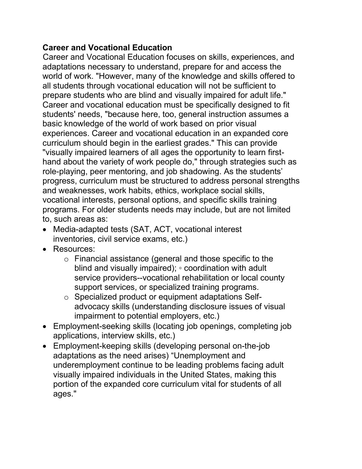# **Career and Vocational Education**

Career and Vocational Education focuses on skills, experiences, and adaptations necessary to understand, prepare for and access the world of work. "However, many of the knowledge and skills offered to all students through vocational education will not be sufficient to prepare students who are blind and visually impaired for adult life." Career and vocational education must be specifically designed to fit students' needs, "because here, too, general instruction assumes a basic knowledge of the world of work based on prior visual experiences. Career and vocational education in an expanded core curriculum should begin in the earliest grades." This can provide "visually impaired learners of all ages the opportunity to learn firsthand about the variety of work people do," through strategies such as role-playing, peer mentoring, and job shadowing. As the students' progress, curriculum must be structured to address personal strengths and weaknesses, work habits, ethics, workplace social skills, vocational interests, personal options, and specific skills training programs. For older students needs may include, but are not limited to, such areas as:

- Media-adapted tests (SAT, ACT, vocational interest inventories, civil service exams, etc.)
- Resources:
	- o Financial assistance (general and those specific to the blind and visually impaired); ◦ coordination with adult service providers--vocational rehabilitation or local county support services, or specialized training programs.
	- o Specialized product or equipment adaptations Selfadvocacy skills (understanding disclosure issues of visual impairment to potential employers, etc.)
- Employment-seeking skills (locating job openings, completing job applications, interview skills, etc.)
- Employment-keeping skills (developing personal on-the-job adaptations as the need arises) "Unemployment and underemployment continue to be leading problems facing adult visually impaired individuals in the United States, making this portion of the expanded core curriculum vital for students of all ages."